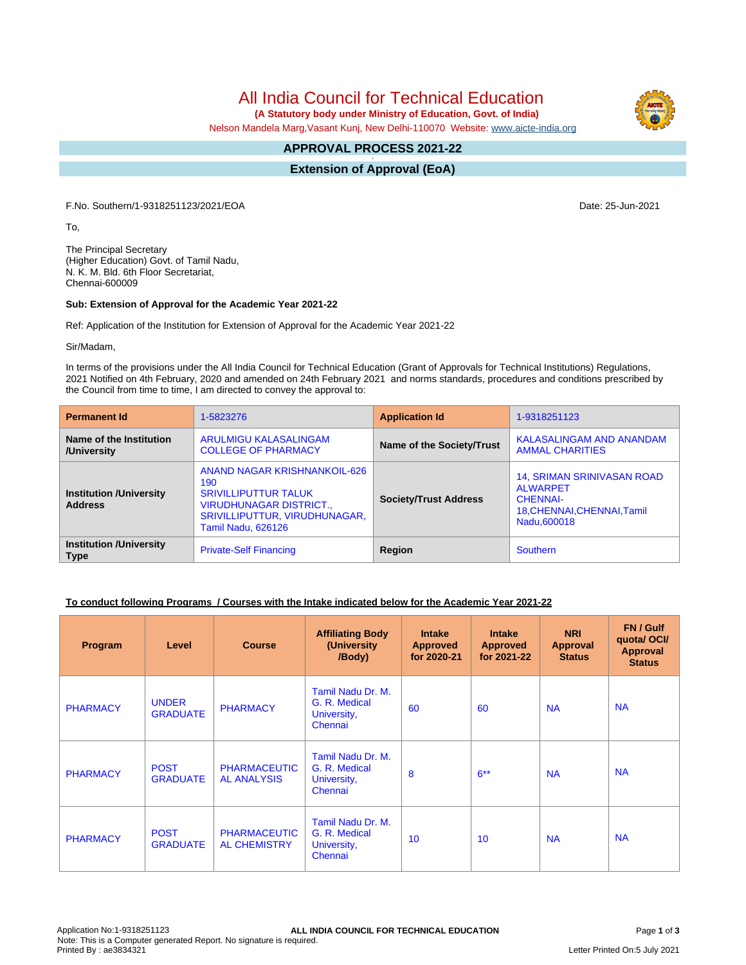All India Council for Technical Education

 **(A Statutory body under Ministry of Education, Govt. of India)**

Nelson Mandela Marg,Vasant Kunj, New Delhi-110070 Website: [www.aicte-india.org](http://www.aicte-india.org)

#### **APPROVAL PROCESS 2021-22 -**

**Extension of Approval (EoA)**

F.No. Southern/1-9318251123/2021/EOA Date: 25-Jun-2021

To,

The Principal Secretary (Higher Education) Govt. of Tamil Nadu, N. K. M. Bld. 6th Floor Secretariat, Chennai-600009

### **Sub: Extension of Approval for the Academic Year 2021-22**

Ref: Application of the Institution for Extension of Approval for the Academic Year 2021-22

Sir/Madam,

In terms of the provisions under the All India Council for Technical Education (Grant of Approvals for Technical Institutions) Regulations, 2021 Notified on 4th February, 2020 and amended on 24th February 2021 and norms standards, procedures and conditions prescribed by the Council from time to time, I am directed to convey the approval to:

| <b>Permanent Id</b>                              | 1-5823276                                                                                                                                                          | <b>Application Id</b>        | 1-9318251123                                                                                                          |  |
|--------------------------------------------------|--------------------------------------------------------------------------------------------------------------------------------------------------------------------|------------------------------|-----------------------------------------------------------------------------------------------------------------------|--|
| Name of the Institution<br>/University           | ARULMIGU KALASALINGAM<br><b>COLLEGE OF PHARMACY</b>                                                                                                                | Name of the Society/Trust    | KALASALINGAM AND ANANDAM<br><b>AMMAL CHARITIES</b>                                                                    |  |
| <b>Institution /University</b><br><b>Address</b> | ANAND NAGAR KRISHNANKOIL-626<br>190<br><b>SRIVILLIPUTTUR TALUK</b><br><b>VIRUDHUNAGAR DISTRICT.,</b><br>SRIVILLIPUTTUR, VIRUDHUNAGAR,<br><b>Tamil Nadu, 626126</b> | <b>Society/Trust Address</b> | <b>14, SRIMAN SRINIVASAN ROAD</b><br><b>ALWARPET</b><br><b>CHENNAI-</b><br>18, CHENNAI, CHENNAI, Tamil<br>Nadu.600018 |  |
| <b>Institution /University</b><br><b>Type</b>    | <b>Private-Self Financing</b>                                                                                                                                      | Region                       | <b>Southern</b>                                                                                                       |  |

## **To conduct following Programs / Courses with the Intake indicated below for the Academic Year 2021-22**

| Program         | Level                           | <b>Course</b>                              | <b>Affiliating Body</b><br>(University<br>/Body)             | <b>Intake</b><br><b>Approved</b><br>for 2020-21 | <b>Intake</b><br><b>Approved</b><br>for 2021-22 | <b>NRI</b><br>Approval<br><b>Status</b> | FN / Gulf<br>quota/OCI/<br><b>Approval</b><br><b>Status</b> |
|-----------------|---------------------------------|--------------------------------------------|--------------------------------------------------------------|-------------------------------------------------|-------------------------------------------------|-----------------------------------------|-------------------------------------------------------------|
| <b>PHARMACY</b> | <b>UNDER</b><br><b>GRADUATE</b> | <b>PHARMACY</b>                            | Tamil Nadu Dr. M.<br>G. R. Medical<br>University,<br>Chennai | 60                                              | 60                                              | <b>NA</b>                               | <b>NA</b>                                                   |
| <b>PHARMACY</b> | <b>POST</b><br><b>GRADUATE</b>  | <b>PHARMACEUTIC</b><br><b>AL ANALYSIS</b>  | Tamil Nadu Dr. M.<br>G. R. Medical<br>University,<br>Chennai | 8                                               | $6***$                                          | <b>NA</b>                               | <b>NA</b>                                                   |
| <b>PHARMACY</b> | <b>POST</b><br><b>GRADUATE</b>  | <b>PHARMACEUTIC</b><br><b>AL CHEMISTRY</b> | Tamil Nadu Dr. M.<br>G. R. Medical<br>University,<br>Chennai | 10                                              | 10                                              | <b>NA</b>                               | <b>NA</b>                                                   |

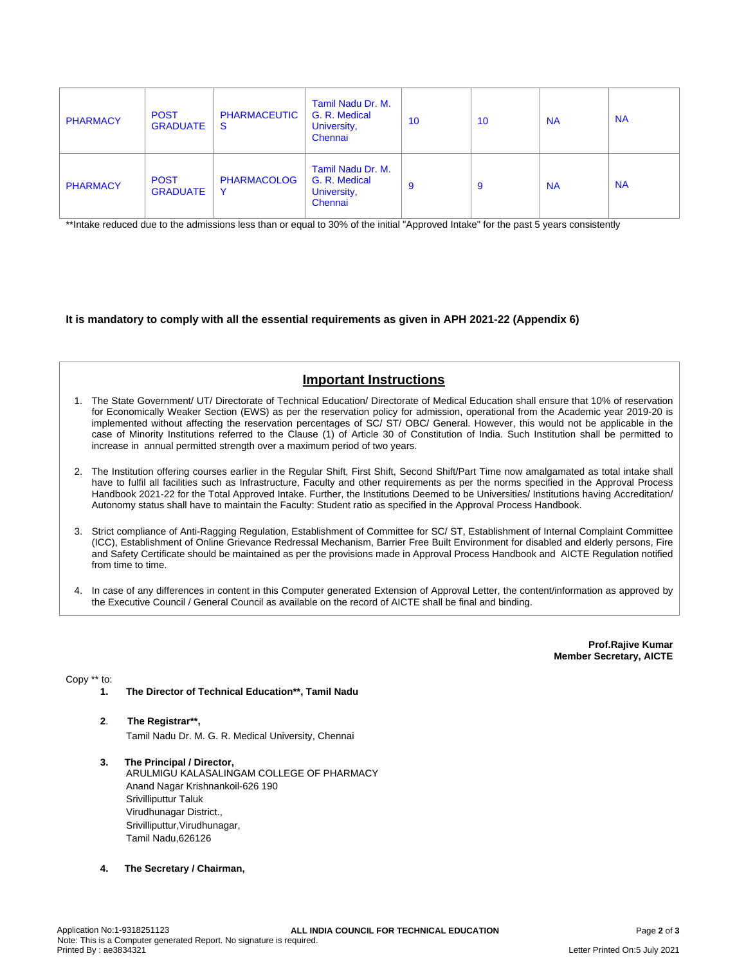| <b>PHARMACY</b> | <b>POST</b><br><b>GRADUATE</b> | <b>PHARMACEUTIC</b><br><b>S</b> | Tamil Nadu Dr. M.<br>G. R. Medical<br>University,<br>Chennai | 10 | 10 | <b>NA</b> | <b>NA</b> |
|-----------------|--------------------------------|---------------------------------|--------------------------------------------------------------|----|----|-----------|-----------|
| <b>PHARMACY</b> | <b>POST</b><br><b>GRADUATE</b> | <b>PHARMACOLOG</b><br>Y         | Tamil Nadu Dr. M.<br>G. R. Medical<br>University,<br>Chennai | 9  | 9  | <b>NA</b> | <b>NA</b> |

\*\*Intake reduced due to the admissions less than or equal to 30% of the initial "Approved Intake" for the past 5 years consistently

**It is mandatory to comply with all the essential requirements as given in APH 2021-22 (Appendix 6)**

# **Important Instructions**

- 1. The State Government/ UT/ Directorate of Technical Education/ Directorate of Medical Education shall ensure that 10% of reservation for Economically Weaker Section (EWS) as per the reservation policy for admission, operational from the Academic year 2019-20 is implemented without affecting the reservation percentages of SC/ ST/ OBC/ General. However, this would not be applicable in the case of Minority Institutions referred to the Clause (1) of Article 30 of Constitution of India. Such Institution shall be permitted to increase in annual permitted strength over a maximum period of two years.
- 2. The Institution offering courses earlier in the Regular Shift, First Shift, Second Shift/Part Time now amalgamated as total intake shall have to fulfil all facilities such as Infrastructure, Faculty and other requirements as per the norms specified in the Approval Process Handbook 2021-22 for the Total Approved Intake. Further, the Institutions Deemed to be Universities/ Institutions having Accreditation/ Autonomy status shall have to maintain the Faculty: Student ratio as specified in the Approval Process Handbook.
- 3. Strict compliance of Anti-Ragging Regulation, Establishment of Committee for SC/ ST, Establishment of Internal Complaint Committee (ICC), Establishment of Online Grievance Redressal Mechanism, Barrier Free Built Environment for disabled and elderly persons, Fire and Safety Certificate should be maintained as per the provisions made in Approval Process Handbook and AICTE Regulation notified from time to time.
- 4. In case of any differences in content in this Computer generated Extension of Approval Letter, the content/information as approved by the Executive Council / General Council as available on the record of AICTE shall be final and binding.

**Prof.Rajive Kumar Member Secretary, AICTE**

Copy \*\* to:

- **1. The Director of Technical Education\*\*, Tamil Nadu**
- **2**. **The Registrar\*\*,** Tamil Nadu Dr. M. G. R. Medical University, Chennai
- **3. The Principal / Director,** ARULMIGU KALASALINGAM COLLEGE OF PHARMACY Anand Nagar Krishnankoil-626 190 Srivilliputtur Taluk Virudhunagar District., Srivilliputtur,Virudhunagar, Tamil Nadu,626126
- **4. The Secretary / Chairman,**